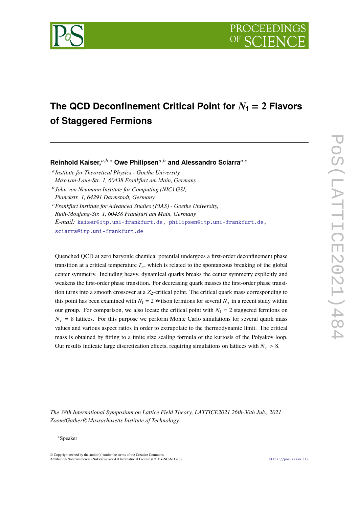

# The QCD Deconfinement Critical Point for  $N_f = 2$  Flavors **of Staggered Fermions**

**Reinhold Kaiser,**<sup>a,b,\*</sup> Owe Philipsen<sup>a,b</sup> and Alessandro Sciarra<sup>a,c</sup>

𝑎 *Institute for Theoretical Physics - Goethe University, Max-von-Laue-Str. 1, 60438 Frankfurt am Main, Germany* 𝑏 *John von Neumann Institute for Computing (NIC) GSI,*

*Planckstr. 1, 64291 Darmstadt, Germany*

<sup>𝑐</sup>*Frankfurt Institute for Advanced Studies (FIAS) - Goethe University, Ruth-Moufang-Str. 1, 60438 Frankfurt am Main, Germany E-mail:* [kaiser@itp.uni-frankfurt.de,](mailto:kaiser@itp.uni-frankfurt.de) [philipsen@itp.uni-frankfurt.de,](mailto:philipsen@itp.uni-frankfurt.de) [sciarra@itp.uni-frankfurt.de](mailto:sciarra@itp.uni-frankfurt.de)

Quenched QCD at zero baryonic chemical potential undergoes a first-order deconfinement phase transition at a critical temperature  $T_c$ , which is related to the spontaneous breaking of the global center symmetry. Including heavy, dynamical quarks breaks the center symmetry explicitly and weakens the first-order phase transition. For decreasing quark masses the first-order phase transition turns into a smooth crossover at a  $Z_2$ -critical point. The critical quark mass corresponding to this point has been examined with  $N_f = 2$  Wilson fermions for several  $N_{\tau}$  in a recent study within our group. For comparison, we also locate the critical point with  $N_f = 2$  staggered fermions on  $N_{\tau}$  = 8 lattices. For this purpose we perform Monte Carlo simulations for several quark mass values and various aspect ratios in order to extrapolate to the thermodynamic limit. The critical mass is obtained by fitting to a finite size scaling formula of the kurtosis of the Polyakov loop. Our results indicate large discretization effects, requiring simulations on lattices with  $N_{\tau} > 8$ .

*The 38th International Symposium on Lattice Field Theory, LATTICE2021 26th-30th July, 2021 Zoom/Gather@Massachusetts Institute of Technology*

#### <sup>∗</sup>Speaker

© Copyright owned by the author(s) under the terms of the Creative Commons Attribution-NonCommercial-NoDerivatives 4.0 International License (CC BY-NC-ND 4.0). <https://pos.sissa.it/>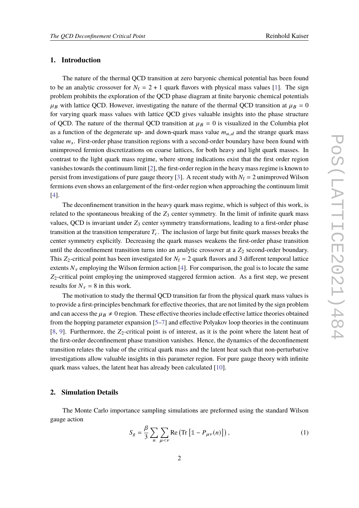## **1. Introduction**

The nature of the thermal QCD transition at zero baryonic chemical potential has been found to be an analytic crossover for  $N_f = 2 + 1$  quark flavors with physical mass values [\[1\]](#page-6-0). The sign problem prohibits the exploration of the QCD phase diagram at finite baryonic chemical potentials  $\mu_B$  with lattice QCD. However, investigating the nature of the thermal QCD transition at  $\mu_B = 0$ for varying quark mass values with lattice QCD gives valuable insights into the phase structure of QCD. The nature of the thermal QCD transition at  $\mu_B = 0$  is visualized in the Columbia plot as a function of the degenerate up- and down-quark mass value  $m_{u,d}$  and the strange quark mass value  $m_s$ . First-order phase transition regions with a second-order boundary have been found with unimproved fermion discretizations on coarse lattices, for both heavy and light quark masses. In contrast to the light quark mass regime, where strong indications exist that the first order region vanishes towards the continuum limit [\[2\]](#page-6-1), the first-order region in the heavy mass regime is known to persist from investigations of pure gauge theory [\[3\]](#page-6-2). A recent study with  $N_f = 2$  unimproved Wilson fermions even shows an enlargement of the first-order region when approaching the continuum limit [\[4\]](#page-6-3).

The deconfinement transition in the heavy quark mass regime, which is subject of this work, is related to the spontaneous breaking of the  $Z_3$  center symmetry. In the limit of infinite quark mass values, QCD is invariant under  $Z_3$  center symmetry transformations, leading to a first-order phase transition at the transition temperature  $T_c$ . The inclusion of large but finite quark masses breaks the center symmetry explicitly. Decreasing the quark masses weakens the first-order phase transition until the deconfinement transition turns into an analytic crossover at a  $Z_2$  second-order boundary. This  $Z_2$ -critical point has been investigated for  $N_f = 2$  quark flavors and 3 different temporal lattice extents  $N_{\tau}$  employing the Wilson fermion action [\[4\]](#page-6-3). For comparison, the goal is to locate the same  $Z_2$ -critical point employing the unimproved staggered fermion action. As a first step, we present results for  $N_{\tau} = 8$  in this work.

The motivation to study the thermal QCD transition far from the physical quark mass values is to provide a first-principles benchmark for effective theories, that are not limited by the sign problem and can access the  $\mu_B \neq 0$  region. These effective theories include effective lattice theories obtained from the hopping parameter expansion [\[5–](#page-6-4)[7\]](#page-6-5) and effective Polyakov loop theories in the continuum [\[8,](#page-6-6) [9\]](#page-6-7). Furthermore, the  $Z_2$ -critical point is of interest, as it is the point where the latent heat of the first-order deconfinement phase transition vanishes. Hence, the dynamics of the deconfinement transition relates the value of the critical quark mass and the latent heat such that non-perturbative investigations allow valuable insights in this parameter region. For pure gauge theory with infinite quark mass values, the latent heat has already been calculated [\[10\]](#page-6-8).

## **2. Simulation Details**

The Monte Carlo importance sampling simulations are preformed using the standard Wilson gauge action

$$
S_g = \frac{\beta}{3} \sum_{n} \sum_{\mu < \nu} \text{Re} \left( \text{Tr} \left[ \mathbb{1} - P_{\mu \nu}(n) \right] \right), \tag{1}
$$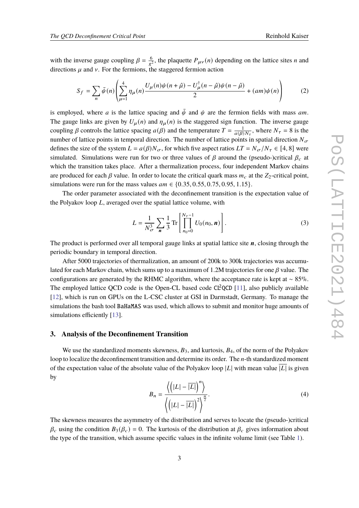with the inverse gauge coupling  $\beta = \frac{6}{g^2}$ , the plaquette  $P_{\mu\nu}(n)$  depending on the lattice sites *n* and directions  $\mu$  and  $\nu$ . For the fermions, the staggered fermion action

$$
S_f = \sum_{n} \bar{\psi}(n) \left( \sum_{\mu=1}^{4} \eta_{\mu}(n) \frac{U_{\mu}(n)\psi(n+\hat{\mu}) - U_{\mu}^{\dagger}(n-\hat{\mu})\psi(n-\hat{\mu})}{2} + (am)\psi(n) \right) \tag{2}
$$

is employed, where *a* is the lattice spacing and  $\bar{\psi}$  and  $\psi$  are the fermion fields with mass *am*. The gauge links are given by  $U_{\mu}(n)$  and  $\eta_{\mu}(n)$  is the staggered sign function. The inverse gauge coupling  $\beta$  controls the lattice spacing  $a(\beta)$  and the temperature  $T = \frac{1}{a(\beta)N_{\tau}}$ , where  $N_{\tau} = 8$  is the number of lattice points in temporal direction. The number of lattice points in spatial direction  $N_{\sigma}$ defines the size of the system  $L = a(\beta)N_{\sigma}$ , for which five aspect ratios  $LT = N_{\sigma}/N_{\tau} \in [4, 8]$  were simulated. Simulations were run for two or three values of  $\beta$  around the (pseudo-)critical  $\beta_c$  at which the transition takes place. After a thermalization process, four independent Markov chains are produced for each  $\beta$  value. In order to locate the critical quark mass  $m_c$  at the  $Z_2$ -critical point, simulations were run for the mass values  $am \in \{0.35, 0.55, 0.75, 0.95, 1.15\}.$ 

The order parameter associated with the deconfinement transition is the expectation value of the Polyakov loop  $L$ , averaged over the spatial lattice volume, with

$$
L = \frac{1}{N_{\sigma}^3} \sum_{\mathbf{n}} \frac{1}{3} \text{Tr} \left[ \prod_{n_0=0}^{N_{\tau}-1} U_0(n_0, \mathbf{n}) \right]. \tag{3}
$$

The product is performed over all temporal gauge links at spatial lattice site  $n$ , closing through the periodic boundary in temporal direction.

After 5000 trajectories of thermalization, an amount of 200k to 300k trajectories was accumulated for each Markov chain, which sums up to a maximum of 1.2M trajectories for one  $\beta$  value. The configurations are generated by the RHMC algorithm, where the acceptance rate is kept at ∼ 85%. The employed lattice QCD code is the Open-CL based code  $CL^2QCD$  [\[11\]](#page-7-0), also publicly available [\[12\]](#page-7-1), which is run on GPUs on the L-CSC cluster at GSI in Darmstadt, Germany. To manage the simulations the bash tool BaHaMAS was used, which allows to submit and monitor huge amounts of simulations efficiently [\[13\]](#page-7-2).

# **3. Analysis of the Deconfinement Transition**

We use the standardized moments skewness,  $B_3$ , and kurtosis,  $B_4$ , of the norm of the Polyakov loop to localize the deconfinement transition and determine its order. The  $n$ -th standardized moment of the expectation value of the absolute value of the Polyakov loop  $|L|$  with mean value  $|L|$  is given by

$$
B_n = \frac{\left\langle \left( |L| - \overline{|L|} \right)^n \right\rangle}{\left\langle \left( |L| - \overline{|L|} \right)^2 \right\rangle^{\frac{n}{2}}}.
$$
\n(4)

The skewness measures the asymmetry of the distribution and serves to locate the (pseudo-)critical  $\beta_c$  using the condition  $B_3(\beta_c) = 0$ . The kurtosis of the distribution at  $\beta_c$  gives information about the type of the transition, which assume specific values in the infinite volume limit (see Table [1\)](#page-3-0).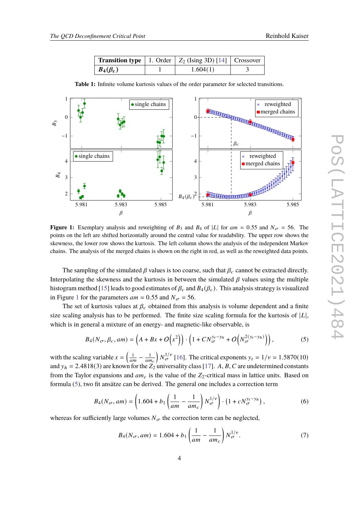|                | <b>Transition type</b>   1. Order $\mid Z_2$ (Ising 3D) [14] $\mid$ Crossover |  |  |
|----------------|-------------------------------------------------------------------------------|--|--|
| $B_4(\beta_c)$ | 1.604(1)                                                                      |  |  |

<span id="page-3-1"></span>1 1 single chains reweighted merged chains 0  $\boldsymbol{0}$ XXXXXXX B<sub>3</sub> XXXXXXXXXXXXXXX −1 −1  $\beta_c$ • single chains reweighted 4 4 merged chains  $B_4$ 3 3 2  $B_4(\beta_c)^2$ 5.981 5.983 5.985 5.981 5.983 5.985  $\beta$  $\beta$ 

<span id="page-3-0"></span>**Table 1:** Infinite volume kurtosis values of the order parameter for selected transitions.

**Figure 1:** Exemplary analysis and reweighting of  $B_3$  and  $B_4$  of |L| for  $am = 0.55$  and  $N_{\sigma} = 56$ . The points on the left are shifted horizontally around the central value for readability. The upper row shows the skewness, the lower row shows the kurtosis. The left column shows the analysis of the independent Markov chains. The analysis of the merged chains is shown on the right in red, as well as the reweighted data points.

The sampling of the simulated  $\beta$  values is too coarse, such that  $\beta_c$  cannot be extracted directly. Interpolating the skewness and the kurtosis in between the simulated  $\beta$  values using the multiple histogram method [\[15\]](#page-7-4) leads to good estimates of  $\beta_c$  and  $B_4(\beta_c)$ . This analysis strategy is visualized in Figure [1](#page-3-1) for the parameters  $am = 0.55$  and  $N_{\sigma} = 56$ .

The set of kurtosis values at  $\beta_c$  obtained from this analysis is volume dependent and a finite size scaling analysis has to be performed. The finite size scaling formula for the kurtosis of  $|L|$ , which is in general a mixture of an energy- and magnetic-like observable, is

<span id="page-3-2"></span>
$$
B_4(N_{\sigma}, \beta_c, am) = \left(A + Bx + O\left(x^2\right)\right) \cdot \left(1 + CN_{\sigma}^{y_t - y_h} + O\left(N_{\sigma}^{2(y_t - y_h)}\right)\right),\tag{5}
$$

with the scaling variable  $x = \left(\frac{1}{am} - \frac{1}{am_c}\right) N_{\sigma}^{1/\nu}$  [\[16\]](#page-7-5). The critical exponents  $y_t = 1/\nu = 1.5870(10)$ and  $y_h = 2.4818(3)$  are known for the  $Z_2$  universality class [\[17\]](#page-7-6). A, B, C are undetermined constants from the Taylor expansions and  $am_c$  is the value of the  $Z_2$ -critical mass in lattice units. Based on formula [\(5\)](#page-3-2), two fit ansätze can be derived. The general one includes a correction term

<span id="page-3-4"></span>
$$
B_4(N_{\sigma}, am) = \left(1.604 + b_1 \left(\frac{1}{am} - \frac{1}{am_c}\right) N_{\sigma}^{1/\nu}\right) \cdot \left(1 + c N_{\sigma}^{y_t - y_h}\right),\tag{6}
$$

whereas for sufficiently large volumes  $N_{\sigma}$  the correction term can be neglected,

<span id="page-3-3"></span>
$$
B_4(N_{\sigma}, am) = 1.604 + b_1 \left(\frac{1}{am} - \frac{1}{am_c}\right) N_{\sigma}^{1/\nu}.
$$
 (7)

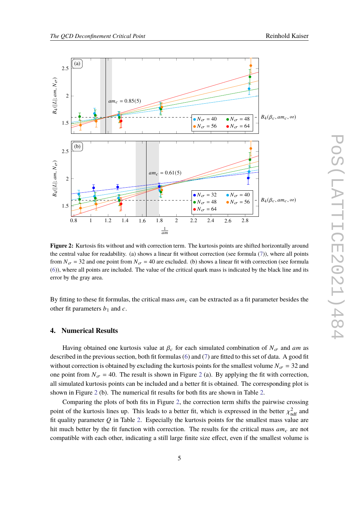<span id="page-4-0"></span>

**Figure 2:** Kurtosis fits without and with correction term. The kurtosis points are shifted horizontally around the central value for readability. (a) shows a linear fit without correction (see formula [\(7\)](#page-3-3)), where all points from  $N_{\sigma}$  = 32 and one point from  $N_{\sigma}$  = 40 are excluded. (b) shows a linear fit with correction (see formula [\(6\)](#page-3-4)), where all points are included. The value of the critical quark mass is indicated by the black line and its error by the gray area.

By fitting to these fit formulas, the critical mass  $am_c$  can be extracted as a fit parameter besides the other fit parameters  $b_1$  and  $c$ .

#### **4. Numerical Results**

Having obtained one kurtosis value at  $\beta_c$  for each simulated combination of  $N_{\sigma}$  and am as described in the previous section, both fit formulas [\(6\)](#page-3-4) and [\(7\)](#page-3-3) are fitted to this set of data. A good fit without correction is obtained by excluding the kurtosis points for the smallest volume  $N_{\sigma} = 32$  and one point from  $N_{\sigma} = 40$ . The result is shown in Figure [2](#page-4-0) (a). By applying the fit with correction, all simulated kurtosis points can be included and a better fit is obtained. The corresponding plot is shown in Figure [2](#page-4-0) (b). The numerical fit results for both fits are shown in Table [2.](#page-5-0)

Comparing the plots of both fits in Figure [2,](#page-4-0) the correction term shifts the pairwise crossing point of the kurtosis lines up. This leads to a better fit, which is expressed in the better  $\chi^2_{\text{ndf}}$  and fit quality parameter  $Q$  in Table [2.](#page-5-0) Especially the kurtosis points for the smallest mass value are hit much better by the fit function with correction. The results for the critical mass  $am_c$  are not compatible with each other, indicating a still large finite size effect, even if the smallest volume is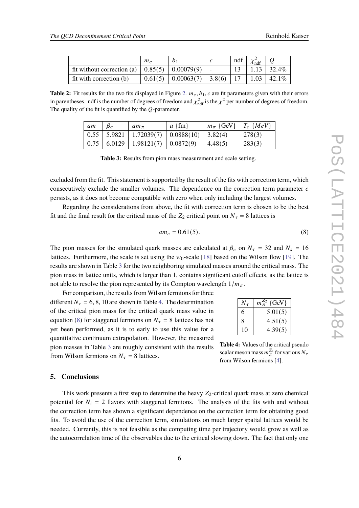<span id="page-5-0"></span>

|                                                                   | $m_c$ |                                | ndf | $\chi$ <sub>ndf</sub> |                       |
|-------------------------------------------------------------------|-------|--------------------------------|-----|-----------------------|-----------------------|
| fit without correction (a) $\vert 0.85(5) \vert 0.00079(9) \vert$ |       |                                |     |                       | $1.13 \mid 32.4\%$    |
| fit with correction (b)                                           |       | $0.61(5)$ 0.00063(7) 3.8(6) 17 |     |                       | $\perp$ 1.03   42.1\% |

<span id="page-5-1"></span>**Table 2:** Fit results for the two fits displayed in Figure [2.](#page-4-0)  $m_c$ ,  $b_1$ ,  $c$  are fit parameters given with their errors in parentheses. ndf is the number of degrees of freedom and  $\chi^2_{\text{ndf}}$  is the  $\chi^2$  per number of degrees of freedom. The quality of the fit is quantified by the  $Q$ -parameter.

| am | $am_\pi$                                                 | $a \{fm\}$ | $m_{\pi}$ {GeV} $T_c$ {MeV} |        |
|----|----------------------------------------------------------|------------|-----------------------------|--------|
|    | $\mid$ 0.55   5.9821   1.72039(7)   0.0888(10)   3.82(4) |            |                             | 278(3) |
|    | $0.75 \mid 6.0129 \mid 1.98121(7) \mid 0.0872(9)$        |            | 4.48(5)                     | 283(3) |

**Table 3:** Results from pion mass measurement and scale setting.

excluded from the fit. This statement is supported by the result of the fits with correction term, which consecutively exclude the smaller volumes. The dependence on the correction term parameter  $c$ persists, as it does not become compatible with zero when only including the largest volumes.

Regarding the considerations from above, the fit with correction term is chosen to be the best fit and the final result for the critical mass of the  $Z_2$  critical point on  $N_{\tau} = 8$  lattices is

<span id="page-5-3"></span>
$$
am_c = 0.61(5). \t\t(8)
$$

The pion masses for the simulated quark masses are calculated at  $\beta_c$  on  $N_{\tau} = 32$  and  $N_s = 16$ lattices. Furthermore, the scale is set using the  $w_0$ -scale [\[18\]](#page-7-7) based on the Wilson flow [\[19\]](#page-7-8). The results are shown in Table [3](#page-5-1) for the two neighboring simulated masses around the critical mass. The pion mass in lattice units, which is larger than 1, contains significant cutoff effects, as the lattice is not able to resolve the pion represented by its Compton wavelength  $1/m_{\pi}$ .

For comparison, the results from Wilson fermions for three different  $N_{\tau} = 6, 8, 10$  are shown in Table [4.](#page-5-2) The determination of the critical pion mass for the critical quark mass value in equation [\(8\)](#page-5-3) for staggered fermions on  $N_{\tau} = 8$  lattices has not yet been performed, as it is to early to use this value for a quantitative continuum extrapolation. However, the measured pion masses in Table [3](#page-5-1) are roughly consistent with the results from Wilson fermions on  $N_{\tau} = 8$  lattices.

<span id="page-5-2"></span> $N_{\tau}$   $m_{\pi}^{Z_2}$  {GeV} 6  $5.01(5)$  $8 \t 4.51(5)$  $10 \mid 4.39(5)$ 

**Table 4:** Values of the critical pseudo scalar meson mass  $m_{\pi}^{Z_2}$  for various  $N_{\tau}$ from Wilson fermions [\[4\]](#page-6-3).

# **5. Conclusions**

This work presents a first step to determine the heavy  $Z_2$ -critical quark mass at zero chemical potential for  $N_f = 2$  flavors with staggered fermions. The analysis of the fits with and without the correction term has shown a significant dependence on the correction term for obtaining good fits. To avoid the use of the correction term, simulations on much larger spatial lattices would be needed. Currently, this is not feasible as the computing time per trajectory would grow as well as the autocorrelation time of the observables due to the critical slowing down. The fact that only one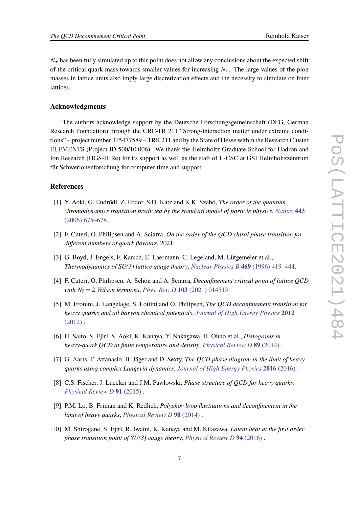$N_{\tau}$  has been fully simulated up to this point does not allow any conclusions about the expected shift of the critical quark mass towards smaller values for increasing  $N_{\tau}$ . The large values of the pion masses in lattice units also imply large discretization effects and the necessity to simulate on finer lattices.

## **Acknowledgments**

The authors acknowledge support by the Deutsche Forschungsgemeinschaft (DFG, German Research Foundation) through the CRC-TR 211 "Strong-interaction matter under extreme conditions" – project number 315477589 – TRR 211 and by the State of Hesse within the Research Cluster ELEMENTS (Project ID 500/10.006). We thank the Helmholtz Graduate School for Hadron and Ion Research (HGS-HIRe) for its support as well as the staff of L-CSC at GSI Helmholtzzentrum für Schwerionenforschung for computer time and support.

#### **References**

- <span id="page-6-0"></span>[1] Y. Aoki, G. Endrődi, Z. Fodor, S.D. Katz and K.K. Szabó, *The order of the quantum chromodynamics transition predicted by the standard model of particle physics*, *[Nature](https://doi.org/10.1038/nature05120)* **443** [\(2006\) 675–678.](https://doi.org/10.1038/nature05120)
- <span id="page-6-1"></span>[2] F. Cuteri, O. Philipsen and A. Sciarra, *On the order of the QCD chiral phase transition for different numbers of quark flavours*, 2021.
- <span id="page-6-2"></span>[3] G. Boyd, J. Engels, F. Karsch, E. Laermann, C. Legeland, M. Lütgemeier et al., *Thermodynamics of SU(3) lattice gauge theory*, *[Nuclear Physics B](https://doi.org/10.1016/0550-3213(96)00170-8)* **469** (1996) 419–444.
- <span id="page-6-3"></span>[4] F. Cuteri, O. Philipsen, A. Schön and A. Sciarra, *Deconfinement critical point of lattice QCD with*  $N_f = 2$  *Wilson fermions, Phys. Rev. D* 103 [\(2021\) 014513.](https://doi.org/10.1103/PhysRevD.103.014513)
- <span id="page-6-4"></span>[5] M. Fromm, J. Langelage, S. Lottini and O. Philipsen, *The QCD deconfinement transition for heavy quarks and all baryon chemical potentials*, *[Journal of High Energy Physics](https://doi.org/10.1007/jhep01(2012)042)* **2012**  $(2012)$ .
- [6] H. Saito, S. Ejiri, S. Aoki, K. Kanaya, Y. Nakagawa, H. Ohno et al., *Histograms in heavy-quark QCD at finite temperature and density*, *[Physical Review D](https://doi.org/10.1103/physrevd.89.034507)* **89** (2014) .
- <span id="page-6-5"></span>[7] G. Aarts, F. Attanasio, B. Jäger and D. Sexty, *The QCD phase diagram in the limit of heavy quarks using complex Langevin dynamics*, *[Journal of High Energy Physics](https://doi.org/10.1007/jhep09(2016)087)* **2016** (2016) .
- <span id="page-6-6"></span>[8] C.S. Fischer, J. Luecker and J.M. Pawlowski, *Phase structure of QCD for heavy quarks*, *[Physical Review D](https://doi.org/10.1103/physrevd.91.014024)* **91** (2015) .
- <span id="page-6-7"></span>[9] P.M. Lo, B. Friman and K. Redlich, *Polyakov loop fluctuations and deconfinement in the limit of heavy quarks*, *[Physical Review D](https://doi.org/10.1103/physrevd.90.074035)* **90** (2014) .
- <span id="page-6-8"></span>[10] M. Shirogane, S. Ejiri, R. Iwami, K. Kanaya and M. Kitazawa, *Latent heat at the first order phase transition point of SU(3) gauge theory*, *[Physical Review D](https://doi.org/10.1103/physrevd.94.014506)* **94** (2016) .